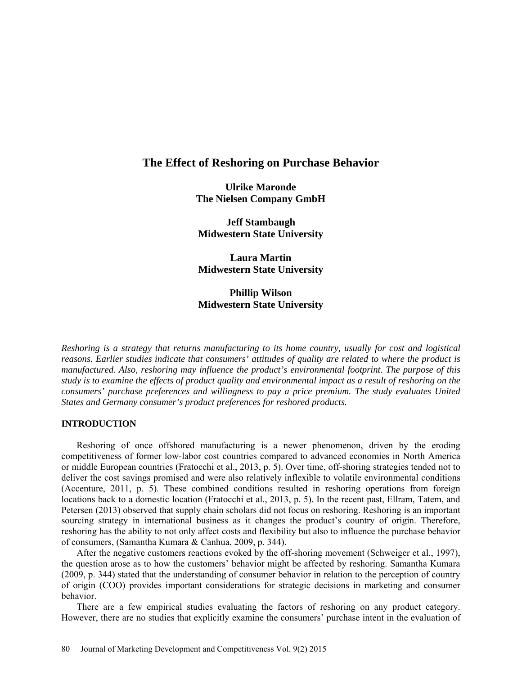# **The Effect of Reshoring on Purchase Behavior**

**Ulrike Maronde The Nielsen Company GmbH**

**Jeff Stambaugh Midwestern State University**

**Laura Martin Midwestern State University**

**Phillip Wilson Midwestern State University**

*Reshoring is a strategy that returns manufacturing to its home country, usually for cost and logistical reasons. Earlier studies indicate that consumers' attitudes of quality are related to where the product is manufactured. Also, reshoring may influence the product's environmental footprint. The purpose of this study is to examine the effects of product quality and environmental impact as a result of reshoring on the consumers' purchase preferences and willingness to pay a price premium. The study evaluates United States and Germany consumer's product preferences for reshored products.* 

## **INTRODUCTION**

Reshoring of once offshored manufacturing is a newer phenomenon, driven by the eroding competitiveness of former low-labor cost countries compared to advanced economies in North America or middle European countries (Fratocchi et al., 2013, p. 5). Over time, off-shoring strategies tended not to deliver the cost savings promised and were also relatively inflexible to volatile environmental conditions (Accenture, 2011, p. 5). These combined conditions resulted in reshoring operations from foreign locations back to a domestic location (Fratocchi et al., 2013, p. 5). In the recent past, Ellram, Tatem, and Petersen (2013) observed that supply chain scholars did not focus on reshoring. Reshoring is an important sourcing strategy in international business as it changes the product's country of origin. Therefore, reshoring has the ability to not only affect costs and flexibility but also to influence the purchase behavior of consumers, (Samantha Kumara & Canhua, 2009, p. 344).

After the negative customers reactions evoked by the off-shoring movement (Schweiger et al., 1997), the question arose as to how the customers' behavior might be affected by reshoring. Samantha Kumara (2009, p. 344) stated that the understanding of consumer behavior in relation to the perception of country of origin (COO) provides important considerations for strategic decisions in marketing and consumer behavior.

There are a few empirical studies evaluating the factors of reshoring on any product category. However, there are no studies that explicitly examine the consumers' purchase intent in the evaluation of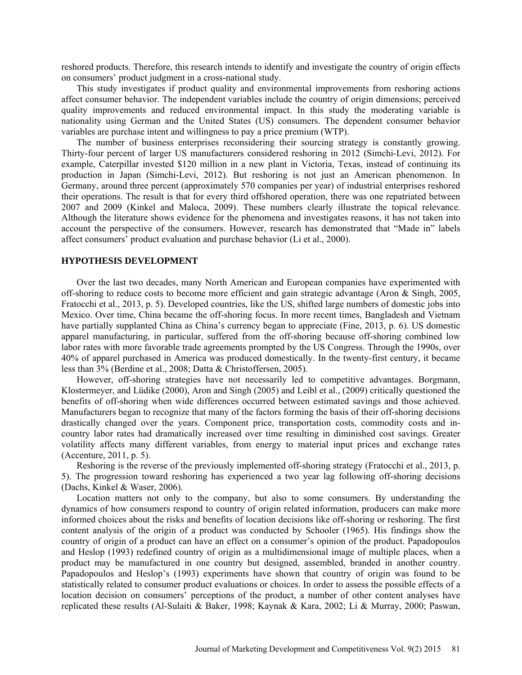reshored products. Therefore, this research intends to identify and investigate the country of origin effects on consumers' product judgment in a cross-national study.

This study investigates if product quality and environmental improvements from reshoring actions affect consumer behavior. The independent variables include the country of origin dimensions; perceived quality improvements and reduced environmental impact. In this study the moderating variable is nationality using German and the United States (US) consumers. The dependent consumer behavior variables are purchase intent and willingness to pay a price premium (WTP).

The number of business enterprises reconsidering their sourcing strategy is constantly growing. Thirty-four percent of larger US manufacturers considered reshoring in 2012 (Simchi-Levi, 2012). For example, Caterpillar invested \$120 million in a new plant in Victoria, Texas, instead of continuing its production in Japan (Simchi-Levi, 2012). But reshoring is not just an American phenomenon. In Germany, around three percent (approximately 570 companies per year) of industrial enterprises reshored their operations. The result is that for every third offshored operation, there was one repatriated between 2007 and 2009 (Kinkel and Maloca, 2009). These numbers clearly illustrate the topical relevance. Although the literature shows evidence for the phenomena and investigates reasons, it has not taken into account the perspective of the consumers. However, research has demonstrated that "Made in" labels affect consumers' product evaluation and purchase behavior (Li et al., 2000).

### **HYPOTHESIS DEVELOPMENT**

Over the last two decades, many North American and European companies have experimented with off-shoring to reduce costs to become more efficient and gain strategic advantage (Aron & Singh, 2005, Fratocchi et al., 2013, p. 5). Developed countries, like the US, shifted large numbers of domestic jobs into Mexico. Over time, China became the off-shoring focus. In more recent times, Bangladesh and Vietnam have partially supplanted China as China's currency began to appreciate (Fine, 2013, p. 6). US domestic apparel manufacturing, in particular, suffered from the off-shoring because off-shoring combined low labor rates with more favorable trade agreements prompted by the US Congress. Through the 1990s, over 40% of apparel purchased in America was produced domestically. In the twenty-first century, it became less than 3% (Berdine et al., 2008; Datta & Christoffersen, 2005).

However, off-shoring strategies have not necessarily led to competitive advantages. Borgmann, Klostermeyer, and Lüdike (2000), Aron and Singh (2005) and Leibl et al., (2009) critically questioned the benefits of off-shoring when wide differences occurred between estimated savings and those achieved. Manufacturers began to recognize that many of the factors forming the basis of their off-shoring decisions drastically changed over the years. Component price, transportation costs, commodity costs and incountry labor rates had dramatically increased over time resulting in diminished cost savings. Greater volatility affects many different variables, from energy to material input prices and exchange rates (Accenture, 2011, p. 5).

Reshoring is the reverse of the previously implemented off-shoring strategy (Fratocchi et al., 2013, p. 5). The progression toward reshoring has experienced a two year lag following off-shoring decisions (Dachs, Kinkel & Waser, 2006).

Location matters not only to the company, but also to some consumers. By understanding the dynamics of how consumers respond to country of origin related information, producers can make more informed choices about the risks and benefits of location decisions like off-shoring or reshoring. The first content analysis of the origin of a product was conducted by Schooler (1965). His findings show the country of origin of a product can have an effect on a consumer's opinion of the product. Papadopoulos and Heslop (1993) redefined country of origin as a multidimensional image of multiple places, when a product may be manufactured in one country but designed, assembled, branded in another country. Papadopoulos and Heslop's (1993) experiments have shown that country of origin was found to be statistically related to consumer product evaluations or choices. In order to assess the possible effects of a location decision on consumers' perceptions of the product, a number of other content analyses have replicated these results (Al-Sulaiti & Baker, 1998; Kaynak & Kara, 2002; Li & Murray, 2000; Paswan,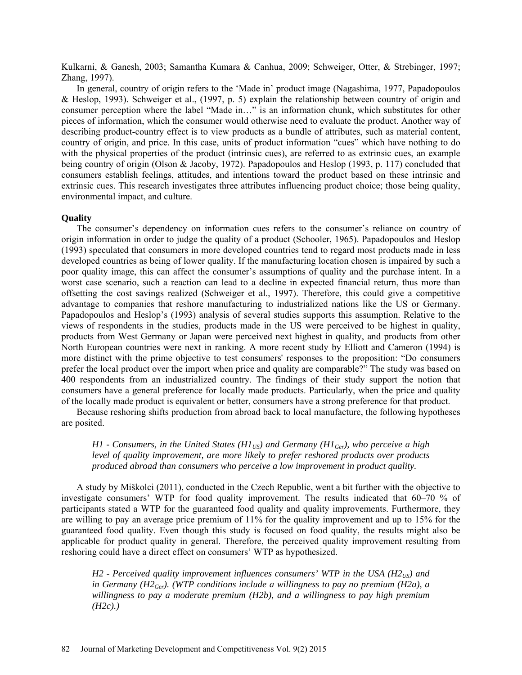Kulkarni, & Ganesh, 2003; Samantha Kumara & Canhua, 2009; Schweiger, Otter, & Strebinger, 1997; Zhang, 1997).

In general, country of origin refers to the 'Made in' product image (Nagashima, 1977, Papadopoulos & Heslop, 1993). Schweiger et al., (1997, p. 5) explain the relationship between country of origin and consumer perception where the label "Made in…" is an information chunk, which substitutes for other pieces of information, which the consumer would otherwise need to evaluate the product. Another way of describing product-country effect is to view products as a bundle of attributes, such as material content, country of origin, and price. In this case, units of product information "cues" which have nothing to do with the physical properties of the product (intrinsic cues), are referred to as extrinsic cues, an example being country of origin (Olson & Jacoby, 1972). Papadopoulos and Heslop (1993, p. 117) concluded that consumers establish feelings, attitudes, and intentions toward the product based on these intrinsic and extrinsic cues. This research investigates three attributes influencing product choice; those being quality, environmental impact, and culture.

#### **Quality**

The consumer's dependency on information cues refers to the consumer's reliance on country of origin information in order to judge the quality of a product (Schooler, 1965). Papadopoulos and Heslop (1993) speculated that consumers in more developed countries tend to regard most products made in less developed countries as being of lower quality. If the manufacturing location chosen is impaired by such a poor quality image, this can affect the consumer's assumptions of quality and the purchase intent. In a worst case scenario, such a reaction can lead to a decline in expected financial return, thus more than offsetting the cost savings realized (Schweiger et al., 1997). Therefore, this could give a competitive advantage to companies that reshore manufacturing to industrialized nations like the US or Germany. Papadopoulos and Heslop's (1993) analysis of several studies supports this assumption. Relative to the views of respondents in the studies, products made in the US were perceived to be highest in quality, products from West Germany or Japan were perceived next highest in quality, and products from other North European countries were next in ranking. A more recent study by Elliott and Cameron (1994) is more distinct with the prime objective to test consumers' responses to the proposition: "Do consumers prefer the local product over the import when price and quality are comparable?" The study was based on 400 respondents from an industrialized country. The findings of their study support the notion that consumers have a general preference for locally made products. Particularly, when the price and quality of the locally made product is equivalent or better, consumers have a strong preference for that product.

Because reshoring shifts production from abroad back to local manufacture, the following hypotheses are posited.

*H1 - Consumers, in the United States (H1<sub>US</sub>) and Germany (H1<sub>Ger</sub>), who perceive a high level of quality improvement, are more likely to prefer reshored products over products produced abroad than consumers who perceive a low improvement in product quality.* 

A study by Miškolci (2011), conducted in the Czech Republic, went a bit further with the objective to investigate consumers' WTP for food quality improvement. The results indicated that 60–70 % of participants stated a WTP for the guaranteed food quality and quality improvements. Furthermore, they are willing to pay an average price premium of 11% for the quality improvement and up to 15% for the guaranteed food quality. Even though this study is focused on food quality, the results might also be applicable for product quality in general. Therefore, the perceived quality improvement resulting from reshoring could have a direct effect on consumers' WTP as hypothesized.

*H2 - Perceived quality improvement influences consumers' WTP in the USA (H2US) and in Germany (H2<sub>Ger</sub>). (WTP conditions include a willingness to pay no premium (H2a), a willingness to pay a moderate premium (H2b), and a willingness to pay high premium (H2c).)*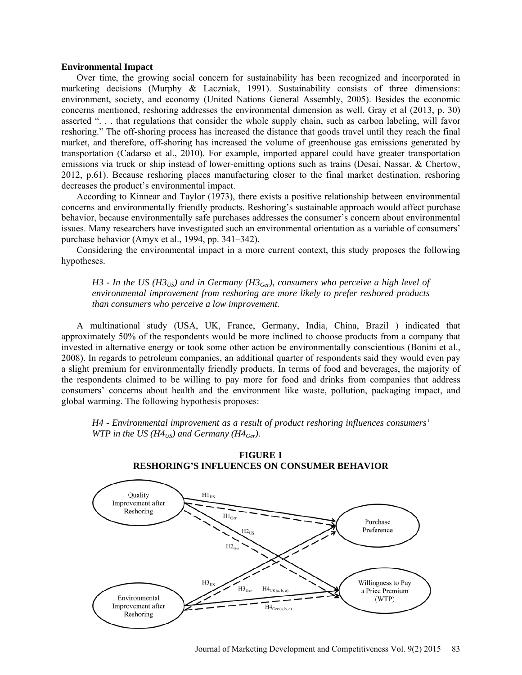## **Environmental Impact**

Over time, the growing social concern for sustainability has been recognized and incorporated in marketing decisions (Murphy & Laczniak, 1991). Sustainability consists of three dimensions: environment, society, and economy (United Nations General Assembly, 2005). Besides the economic concerns mentioned, reshoring addresses the environmental dimension as well. Gray et al (2013, p. 30) asserted ". . . that regulations that consider the whole supply chain, such as carbon labeling, will favor reshoring." The off-shoring process has increased the distance that goods travel until they reach the final market, and therefore, off-shoring has increased the volume of greenhouse gas emissions generated by transportation (Cadarso et al., 2010). For example, imported apparel could have greater transportation emissions via truck or ship instead of lower-emitting options such as trains (Desai, Nassar, & Chertow, 2012, p.61). Because reshoring places manufacturing closer to the final market destination, reshoring decreases the product's environmental impact.

According to Kinnear and Taylor (1973), there exists a positive relationship between environmental concerns and environmentally friendly products. Reshoring's sustainable approach would affect purchase behavior, because environmentally safe purchases addresses the consumer's concern about environmental issues. Many researchers have investigated such an environmental orientation as a variable of consumers' purchase behavior (Amyx et al., 1994, pp. 341–342).

Considering the environmental impact in a more current context, this study proposes the following hypotheses.

 $H3$  - In the US ( $H3_{US}$ ) and in Germany ( $H3_{Ger}$ ), consumers who perceive a high level of *environmental improvement from reshoring are more likely to prefer reshored products than consumers who perceive a low improvement.* 

A multinational study (USA, UK, France, Germany, India, China, Brazil ) indicated that approximately 50% of the respondents would be more inclined to choose products from a company that invested in alternative energy or took some other action be environmentally conscientious (Bonini et al., 2008). In regards to petroleum companies, an additional quarter of respondents said they would even pay a slight premium for environmentally friendly products. In terms of food and beverages, the majority of the respondents claimed to be willing to pay more for food and drinks from companies that address consumers' concerns about health and the environment like waste, pollution, packaging impact, and global warming. The following hypothesis proposes:

*H4 - Environmental improvement as a result of product reshoring influences consumers' WTP in the US (H4<sub>US</sub>) and Germany (H4<sub>Ger</sub>).* 



**FIGURE 1 RESHORING'S INFLUENCES ON CONSUMER BEHAVIOR**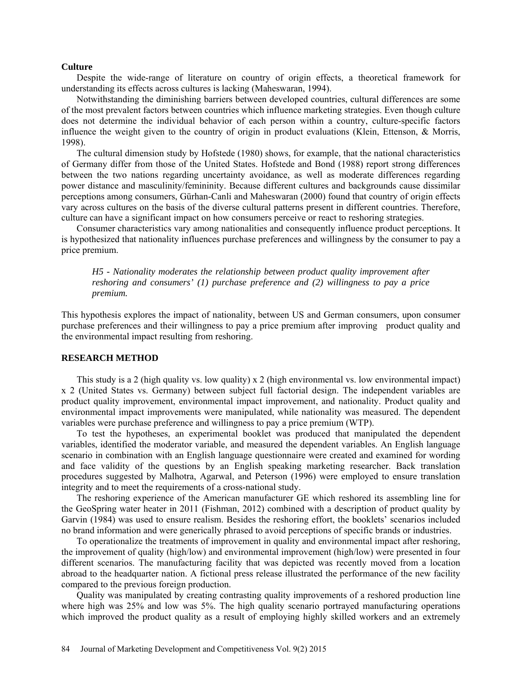### **Culture**

Despite the wide-range of literature on country of origin effects, a theoretical framework for understanding its effects across cultures is lacking (Maheswaran, 1994).

Notwithstanding the diminishing barriers between developed countries, cultural differences are some of the most prevalent factors between countries which influence marketing strategies. Even though culture does not determine the individual behavior of each person within a country, culture-specific factors influence the weight given to the country of origin in product evaluations (Klein, Ettenson, & Morris, 1998).

The cultural dimension study by Hofstede (1980) shows, for example, that the national characteristics of Germany differ from those of the United States. Hofstede and Bond (1988) report strong differences between the two nations regarding uncertainty avoidance, as well as moderate differences regarding power distance and masculinity/femininity. Because different cultures and backgrounds cause dissimilar perceptions among consumers, Gürhan-Canli and Maheswaran (2000) found that country of origin effects vary across cultures on the basis of the diverse cultural patterns present in different countries. Therefore, culture can have a significant impact on how consumers perceive or react to reshoring strategies.

Consumer characteristics vary among nationalities and consequently influence product perceptions. It is hypothesized that nationality influences purchase preferences and willingness by the consumer to pay a price premium.

*H5 - Nationality moderates the relationship between product quality improvement after reshoring and consumers' (1) purchase preference and (2) willingness to pay a price premium.* 

This hypothesis explores the impact of nationality, between US and German consumers, upon consumer purchase preferences and their willingness to pay a price premium after improving product quality and the environmental impact resulting from reshoring.

## **RESEARCH METHOD**

This study is a 2 (high quality vs. low quality)  $x$  2 (high environmental vs. low environmental impact) x 2 (United States vs. Germany) between subject full factorial design. The independent variables are product quality improvement, environmental impact improvement, and nationality. Product quality and environmental impact improvements were manipulated, while nationality was measured. The dependent variables were purchase preference and willingness to pay a price premium (WTP).

To test the hypotheses, an experimental booklet was produced that manipulated the dependent variables, identified the moderator variable, and measured the dependent variables. An English language scenario in combination with an English language questionnaire were created and examined for wording and face validity of the questions by an English speaking marketing researcher. Back translation procedures suggested by Malhotra, Agarwal, and Peterson (1996) were employed to ensure translation integrity and to meet the requirements of a cross-national study.

The reshoring experience of the American manufacturer GE which reshored its assembling line for the GeoSpring water heater in 2011 (Fishman, 2012) combined with a description of product quality by Garvin (1984) was used to ensure realism. Besides the reshoring effort, the booklets' scenarios included no brand information and were generically phrased to avoid perceptions of specific brands or industries.

To operationalize the treatments of improvement in quality and environmental impact after reshoring, the improvement of quality (high/low) and environmental improvement (high/low) were presented in four different scenarios. The manufacturing facility that was depicted was recently moved from a location abroad to the headquarter nation. A fictional press release illustrated the performance of the new facility compared to the previous foreign production.

Quality was manipulated by creating contrasting quality improvements of a reshored production line where high was 25% and low was 5%. The high quality scenario portrayed manufacturing operations which improved the product quality as a result of employing highly skilled workers and an extremely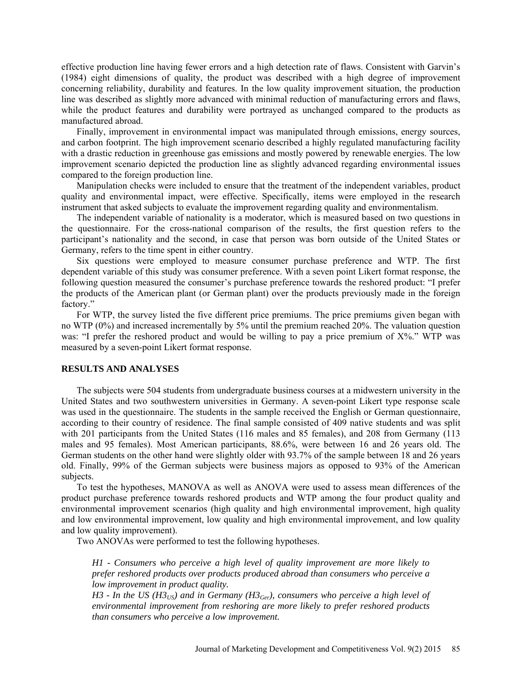effective production line having fewer errors and a high detection rate of flaws. Consistent with Garvin's (1984) eight dimensions of quality, the product was described with a high degree of improvement concerning reliability, durability and features. In the low quality improvement situation, the production line was described as slightly more advanced with minimal reduction of manufacturing errors and flaws, while the product features and durability were portrayed as unchanged compared to the products as manufactured abroad.

Finally, improvement in environmental impact was manipulated through emissions, energy sources, and carbon footprint. The high improvement scenario described a highly regulated manufacturing facility with a drastic reduction in greenhouse gas emissions and mostly powered by renewable energies. The low improvement scenario depicted the production line as slightly advanced regarding environmental issues compared to the foreign production line.

Manipulation checks were included to ensure that the treatment of the independent variables, product quality and environmental impact, were effective. Specifically, items were employed in the research instrument that asked subjects to evaluate the improvement regarding quality and environmentalism.

The independent variable of nationality is a moderator, which is measured based on two questions in the questionnaire. For the cross-national comparison of the results, the first question refers to the participant's nationality and the second, in case that person was born outside of the United States or Germany, refers to the time spent in either country.

Six questions were employed to measure consumer purchase preference and WTP. The first dependent variable of this study was consumer preference. With a seven point Likert format response, the following question measured the consumer's purchase preference towards the reshored product: "I prefer the products of the American plant (or German plant) over the products previously made in the foreign factory."

For WTP, the survey listed the five different price premiums. The price premiums given began with no WTP (0%) and increased incrementally by 5% until the premium reached 20%. The valuation question was: "I prefer the reshored product and would be willing to pay a price premium of  $X\%$ ." WTP was measured by a seven-point Likert format response.

#### **RESULTS AND ANALYSES**

The subjects were 504 students from undergraduate business courses at a midwestern university in the United States and two southwestern universities in Germany. A seven-point Likert type response scale was used in the questionnaire. The students in the sample received the English or German questionnaire, according to their country of residence. The final sample consisted of 409 native students and was split with 201 participants from the United States (116 males and 85 females), and 208 from Germany (113 males and 95 females). Most American participants, 88.6%, were between 16 and 26 years old. The German students on the other hand were slightly older with 93.7% of the sample between 18 and 26 years old. Finally, 99% of the German subjects were business majors as opposed to 93% of the American subjects.

To test the hypotheses, MANOVA as well as ANOVA were used to assess mean differences of the product purchase preference towards reshored products and WTP among the four product quality and environmental improvement scenarios (high quality and high environmental improvement, high quality and low environmental improvement, low quality and high environmental improvement, and low quality and low quality improvement).

Two ANOVAs were performed to test the following hypotheses.

*H1 - Consumers who perceive a high level of quality improvement are more likely to prefer reshored products over products produced abroad than consumers who perceive a low improvement in product quality.* 

 $H3$  - In the US ( $H3_{US}$ ) and in Germany ( $H3_{Ger}$ ), consumers who perceive a high level of *environmental improvement from reshoring are more likely to prefer reshored products than consumers who perceive a low improvement.*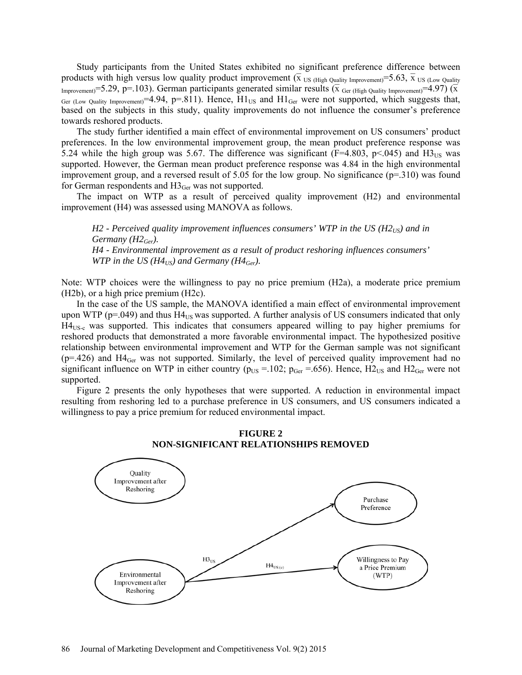Study participants from the United States exhibited no significant preference difference between products with high versus low quality product improvement ( $\bar{x}$  US (High Quality Improvement)=5.63,  $\bar{x}$  US (Low Quality Improvement)=5.29, p=.103). German participants generated similar results ( $\bar{x}$  Ger (High Quality Improvement)=4.97) ( $\bar{x}$ Ger (Low Quality Improvement) = 4.94, p=.811). Hence,  $H1_{US}$  and  $H1_{Ger}$  were not supported, which suggests that, based on the subjects in this study, quality improvements do not influence the consumer's preference towards reshored products.

The study further identified a main effect of environmental improvement on US consumers' product preferences. In the low environmental improvement group, the mean product preference response was 5.24 while the high group was 5.67. The difference was significant ( $F=4.803$ ,  $p<0.045$ ) and  $H_{{\rm 3US}}$  was supported. However, the German mean product preference response was 4.84 in the high environmental improvement group, and a reversed result of 5.05 for the low group. No significance  $(p=310)$  was found for German respondents and  $H3_{\text{Ger}}$  was not supported.

The impact on WTP as a result of perceived quality improvement (H2) and environmental improvement (H4) was assessed using MANOVA as follows.

 $H2$  - Perceived quality improvement influences consumers' WTP in the US ( $H2_{US}$ ) and in *Germany (H2Ger). H4 - Environmental improvement as a result of product reshoring influences consumers' WTP in the US (H4<sub>US</sub>) and Germany (H4<sub>Ger</sub>).* 

Note: WTP choices were the willingness to pay no price premium (H2a), a moderate price premium (H2b), or a high price premium (H2c).

In the case of the US sample, the MANOVA identified a main effect of environmental improvement upon WTP ( $p=0.049$ ) and thus H4 $_{US}$  was supported. A further analysis of US consumers indicated that only  $H4_{\text{US-c}}$  was supported. This indicates that consumers appeared willing to pay higher premiums for reshored products that demonstrated a more favorable environmental impact. The hypothesized positive relationship between environmental improvement and WTP for the German sample was not significant  $(p=426)$  and  $H4_{Ger}$  was not supported. Similarly, the level of perceived quality improvement had no significant influence on WTP in either country ( $p_{US} = 102$ ;  $p_{Ger} = .656$ ). Hence,  $H2_{US}$  and  $H2_{Ger}$  were not supported.

Figure 2 presents the only hypotheses that were supported. A reduction in environmental impact resulting from reshoring led to a purchase preference in US consumers, and US consumers indicated a willingness to pay a price premium for reduced environmental impact.



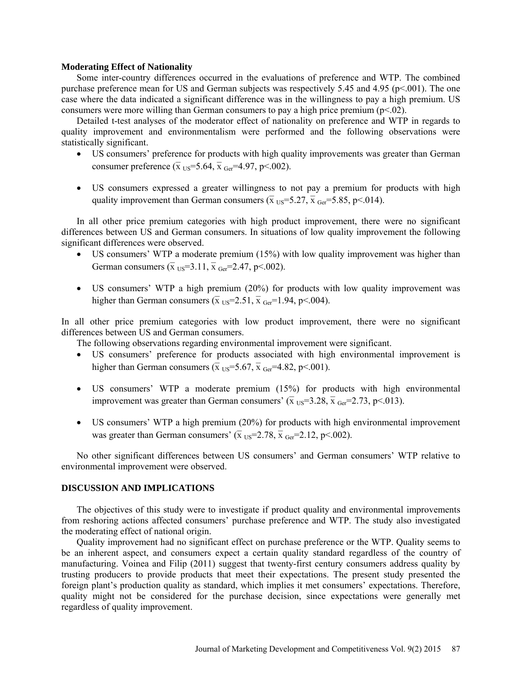## **Moderating Effect of Nationality**

Some inter-country differences occurred in the evaluations of preference and WTP. The combined purchase preference mean for US and German subjects was respectively 5.45 and 4.95 (p<.001). The one case where the data indicated a significant difference was in the willingness to pay a high premium. US consumers were more willing than German consumers to pay a high price premium ( $p<.02$ ).

Detailed t-test analyses of the moderator effect of nationality on preference and WTP in regards to quality improvement and environmentalism were performed and the following observations were statistically significant.

- US consumers' preference for products with high quality improvements was greater than German consumer preference  $(\overline{x})_{\text{US}} = 5.64$ ,  $\overline{x}$  Ger=4.97, p<.002).
- US consumers expressed a greater willingness to not pay a premium for products with high quality improvement than German consumers ( $\bar{x}$  US=5.27,  $\bar{x}$  Ger=5.85, p<.014).

In all other price premium categories with high product improvement, there were no significant differences between US and German consumers. In situations of low quality improvement the following significant differences were observed.

- US consumers' WTP a moderate premium (15%) with low quality improvement was higher than German consumers ( $\overline{x}$  US=3.11,  $\overline{x}$  Ger=2.47, p < 002).
- US consumers' WTP a high premium (20%) for products with low quality improvement was higher than German consumers ( $\bar{x}$  US=2.51,  $\bar{x}$  Ger=1.94, p<.004).

In all other price premium categories with low product improvement, there were no significant differences between US and German consumers.

The following observations regarding environmental improvement were significant.

- US consumers' preference for products associated with high environmental improvement is higher than German consumers ( $\bar{x}$  US=5.67,  $\bar{x}$  Ger=4.82, p<.001).
- US consumers' WTP a moderate premium (15%) for products with high environmental improvement was greater than German consumers' ( $\bar{x}$  US=3.28,  $\bar{x}$  Ger=2.73, p<.013).
- US consumers' WTP a high premium (20%) for products with high environmental improvement was greater than German consumers' ( $\bar{x}$  US=2.78,  $\bar{x}$  Ger=2.12, p<.002).

No other significant differences between US consumers' and German consumers' WTP relative to environmental improvement were observed.

## **DISCUSSION AND IMPLICATIONS**

The objectives of this study were to investigate if product quality and environmental improvements from reshoring actions affected consumers' purchase preference and WTP. The study also investigated the moderating effect of national origin.

Quality improvement had no significant effect on purchase preference or the WTP. Quality seems to be an inherent aspect, and consumers expect a certain quality standard regardless of the country of manufacturing. Voinea and Filip (2011) suggest that twenty-first century consumers address quality by trusting producers to provide products that meet their expectations. The present study presented the foreign plant's production quality as standard, which implies it met consumers' expectations. Therefore, quality might not be considered for the purchase decision, since expectations were generally met regardless of quality improvement.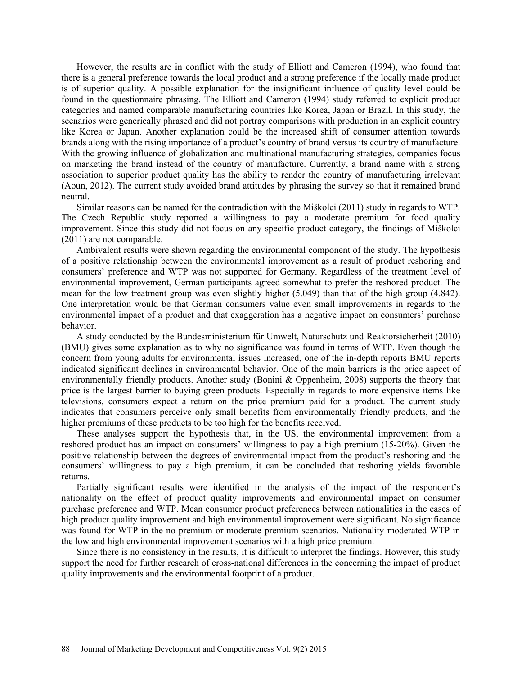However, the results are in conflict with the study of Elliott and Cameron (1994), who found that there is a general preference towards the local product and a strong preference if the locally made product is of superior quality. A possible explanation for the insignificant influence of quality level could be found in the questionnaire phrasing. The Elliott and Cameron (1994) study referred to explicit product categories and named comparable manufacturing countries like Korea, Japan or Brazil. In this study, the scenarios were generically phrased and did not portray comparisons with production in an explicit country like Korea or Japan. Another explanation could be the increased shift of consumer attention towards brands along with the rising importance of a product's country of brand versus its country of manufacture. With the growing influence of globalization and multinational manufacturing strategies, companies focus on marketing the brand instead of the country of manufacture. Currently, a brand name with a strong association to superior product quality has the ability to render the country of manufacturing irrelevant (Aoun, 2012). The current study avoided brand attitudes by phrasing the survey so that it remained brand neutral.

Similar reasons can be named for the contradiction with the Miškolci (2011) study in regards to WTP. The Czech Republic study reported a willingness to pay a moderate premium for food quality improvement. Since this study did not focus on any specific product category, the findings of Miškolci (2011) are not comparable.

Ambivalent results were shown regarding the environmental component of the study. The hypothesis of a positive relationship between the environmental improvement as a result of product reshoring and consumers' preference and WTP was not supported for Germany. Regardless of the treatment level of environmental improvement, German participants agreed somewhat to prefer the reshored product. The mean for the low treatment group was even slightly higher (5.049) than that of the high group (4.842). One interpretation would be that German consumers value even small improvements in regards to the environmental impact of a product and that exaggeration has a negative impact on consumers' purchase behavior.

A study conducted by the Bundesministerium für Umwelt, Naturschutz und Reaktorsicherheit (2010) (BMU) gives some explanation as to why no significance was found in terms of WTP. Even though the concern from young adults for environmental issues increased, one of the in-depth reports BMU reports indicated significant declines in environmental behavior. One of the main barriers is the price aspect of environmentally friendly products. Another study (Bonini & Oppenheim, 2008) supports the theory that price is the largest barrier to buying green products. Especially in regards to more expensive items like televisions, consumers expect a return on the price premium paid for a product. The current study indicates that consumers perceive only small benefits from environmentally friendly products, and the higher premiums of these products to be too high for the benefits received.

These analyses support the hypothesis that, in the US, the environmental improvement from a reshored product has an impact on consumers' willingness to pay a high premium (15-20%). Given the positive relationship between the degrees of environmental impact from the product's reshoring and the consumers' willingness to pay a high premium, it can be concluded that reshoring yields favorable returns.

Partially significant results were identified in the analysis of the impact of the respondent's nationality on the effect of product quality improvements and environmental impact on consumer purchase preference and WTP. Mean consumer product preferences between nationalities in the cases of high product quality improvement and high environmental improvement were significant. No significance was found for WTP in the no premium or moderate premium scenarios. Nationality moderated WTP in the low and high environmental improvement scenarios with a high price premium.

Since there is no consistency in the results, it is difficult to interpret the findings. However, this study support the need for further research of cross-national differences in the concerning the impact of product quality improvements and the environmental footprint of a product.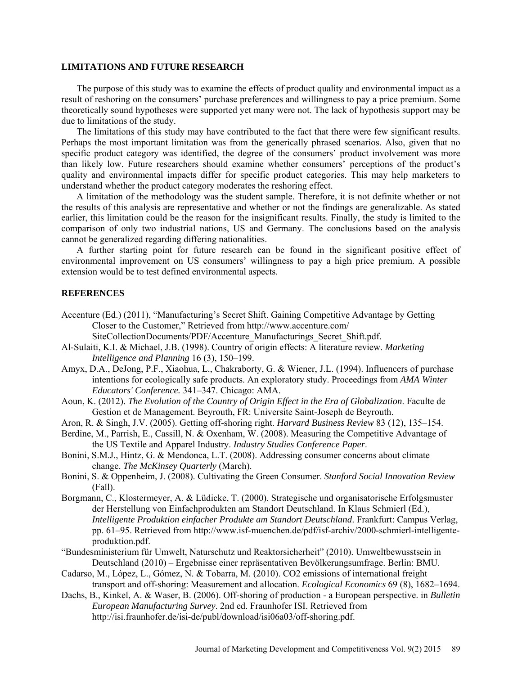## **LIMITATIONS AND FUTURE RESEARCH**

The purpose of this study was to examine the effects of product quality and environmental impact as a result of reshoring on the consumers' purchase preferences and willingness to pay a price premium. Some theoretically sound hypotheses were supported yet many were not. The lack of hypothesis support may be due to limitations of the study.

The limitations of this study may have contributed to the fact that there were few significant results. Perhaps the most important limitation was from the generically phrased scenarios. Also, given that no specific product category was identified, the degree of the consumers' product involvement was more than likely low. Future researchers should examine whether consumers' perceptions of the product's quality and environmental impacts differ for specific product categories. This may help marketers to understand whether the product category moderates the reshoring effect.

A limitation of the methodology was the student sample. Therefore, it is not definite whether or not the results of this analysis are representative and whether or not the findings are generalizable. As stated earlier, this limitation could be the reason for the insignificant results. Finally, the study is limited to the comparison of only two industrial nations, US and Germany. The conclusions based on the analysis cannot be generalized regarding differing nationalities.

A further starting point for future research can be found in the significant positive effect of environmental improvement on US consumers' willingness to pay a high price premium. A possible extension would be to test defined environmental aspects.

## **REFERENCES**

Accenture (Ed.) (2011), "Manufacturing's Secret Shift. Gaining Competitive Advantage by Getting Closer to the Customer," Retrieved from http://www.accenture.com/

SiteCollectionDocuments/PDF/Accenture\_Manufacturings\_Secret\_Shift.pdf.

- Al-Sulaiti, K.I. & Michael, J.B. (1998). Country of origin effects: A literature review. *Marketing Intelligence and Planning* 16 (3), 150–199.
- Amyx, D.A., DeJong, P.F., Xiaohua, L., Chakraborty, G. & Wiener, J.L. (1994). Influencers of purchase intentions for ecologically safe products. An exploratory study. Proceedings from *AMA Winter Educators' Conference.* 341–347. Chicago: AMA.
- Aoun, K. (2012). *The Evolution of the Country of Origin Effect in the Era of Globalization*. Faculte de Gestion et de Management. Beyrouth, FR: Universite Saint-Joseph de Beyrouth.
- Aron, R. & Singh, J.V. (2005). Getting off-shoring right. *Harvard Business Review* 83 (12), 135–154.
- Berdine, M., Parrish, E., Cassill, N. & Oxenham, W. (2008). Measuring the Competitive Advantage of the US Textile and Apparel Industry. *Industry Studies Conference Paper*.
- Bonini, S.M.J., Hintz, G. & Mendonca, L.T. (2008). Addressing consumer concerns about climate change. *The McKinsey Quarterly* (March).
- Bonini, S. & Oppenheim, J. (2008). Cultivating the Green Consumer. *Stanford Social Innovation Review* (Fall).
- Borgmann, C., Klostermeyer, A. & Lüdicke, T. (2000). Strategische und organisatorische Erfolgsmuster der Herstellung von Einfachprodukten am Standort Deutschland. In Klaus Schmierl (Ed.), *Intelligente Produktion einfacher Produkte am Standort Deutschland*. Frankfurt: Campus Verlag, pp. 61–95. Retrieved from http://www.isf-muenchen.de/pdf/isf-archiv/2000-schmierl-intelligenteproduktion.pdf.
- "Bundesministerium für Umwelt, Naturschutz und Reaktorsicherheit" (2010). Umweltbewusstsein in Deutschland (2010) – Ergebnisse einer repräsentativen Bevölkerungsumfrage. Berlin: BMU.
- Cadarso, M., López, L., Gómez, N. & Tobarra, M. (2010). CO2 emissions of international freight transport and off-shoring: Measurement and allocation. *Ecological Economics* 69 (8), 1682–1694.
- Dachs, B., Kinkel, A. & Waser, B. (2006). Off-shoring of production a European perspective. in *Bulletin European Manufacturing Survey*. 2nd ed. Fraunhofer ISI. Retrieved from http://isi.fraunhofer.de/isi-de/publ/download/isi06a03/off-shoring.pdf.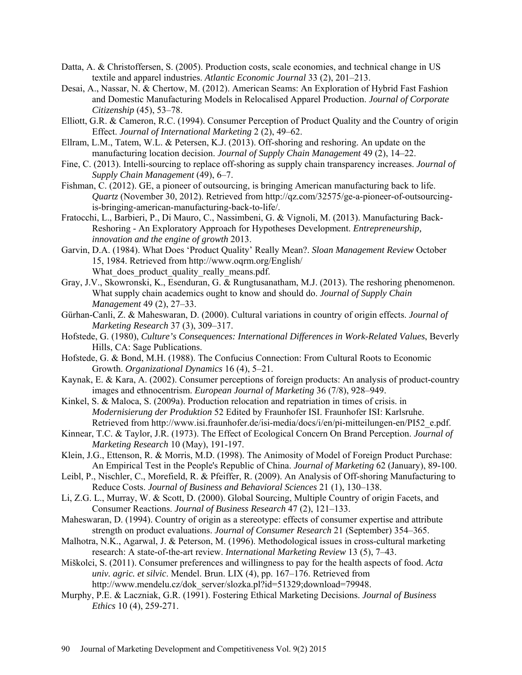- Datta, A. & Christoffersen, S. (2005). Production costs, scale economies, and technical change in US textile and apparel industries. *Atlantic Economic Journal* 33 (2), 201–213.
- Desai, A., Nassar, N. & Chertow, M. (2012). American Seams: An Exploration of Hybrid Fast Fashion and Domestic Manufacturing Models in Relocalised Apparel Production. *Journal of Corporate Citizenship* (45), 53–78.
- Elliott, G.R. & Cameron, R.C. (1994). Consumer Perception of Product Quality and the Country of origin Effect. *Journal of International Marketing* 2 (2), 49–62.
- Ellram, L.M., Tatem, W.L. & Petersen, K.J. (2013). Off-shoring and reshoring. An update on the manufacturing location decision. *Journal of Supply Chain Management* 49 (2), 14–22.
- Fine, C. (2013). Intelli-sourcing to replace off-shoring as supply chain transparency increases. *Journal of Supply Chain Management* (49), 6–7.
- Fishman, C. (2012). GE, a pioneer of outsourcing, is bringing American manufacturing back to life. *Quartz* (November 30, 2012). Retrieved from http://qz.com/32575/ge-a-pioneer-of-outsourcingis-bringing-american-manufacturing-back-to-life/.
- Fratocchi, L., Barbieri, P., Di Mauro, C., Nassimbeni, G. & Vignoli, M. (2013). Manufacturing Back-Reshoring - An Exploratory Approach for Hypotheses Development. *Entrepreneurship, innovation and the engine of growth* 2013.
- Garvin, D.A. (1984). What Does 'Product Quality' Really Mean?. *Sloan Management Review* October 15, 1984. Retrieved from<http://www.oqrm.org/English/> What does product quality really means.pdf.
- Gray, J.V., Skowronski, K., Esenduran, G. & Rungtusanatham, M.J. (2013). The reshoring phenomenon. What supply chain academics ought to know and should do. *Journal of Supply Chain Management* 49 (2), 27–33.
- Gürhan-Canli, Z. & Maheswaran, D. (2000). Cultural variations in country of origin effects. *Journal of Marketing Research* 37 (3), 309–317.
- Hofstede, G. (1980), *Culture's Consequences: International Differences in Work-Related Values*, Beverly Hills, CA: Sage Publications.
- Hofstede, G. & Bond, M.H. (1988). The Confucius Connection: From Cultural Roots to Economic Growth. *Organizational Dynamics* 16 (4), 5–21.
- Kaynak, E. & Kara, A. (2002). Consumer perceptions of foreign products: An analysis of product-country images and ethnocentrism. *European Journal of Marketing* 36 (7/8), 928–949.
- Kinkel, S. & Maloca, S. (2009a). Production relocation and repatriation in times of crisis. in *Modernisierung der Produktion* 52 Edited by Fraunhofer ISI. Fraunhofer ISI: Karlsruhe. Retrieved from http://www.isi.fraunhofer.de/isi-media/docs/i/en/pi-mitteilungen-en/PI52\_e.pdf.
- Kinnear, T.C. & Taylor, J.R. (1973). The Effect of Ecological Concern On Brand Perception. *Journal of Marketing Research* 10 (May), 191-197.
- Klein, J.G., Ettenson, R. & Morris, M.D. (1998). The Animosity of Model of Foreign Product Purchase: An Empirical Test in the People's Republic of China. *Journal of Marketing* 62 (January), 89-100.
- Leibl, P., Nischler, C., Morefield, R. & Pfeiffer, R. (2009). An Analysis of Off-shoring Manufacturing to Reduce Costs. *Journal of Business and Behavioral Sciences* 21 (1), 130–138.
- Li, Z.G. L., Murray, W. & Scott, D. (2000). Global Sourcing, Multiple Country of origin Facets, and Consumer Reactions. *Journal of Business Research* 47 (2), 121–133.
- Maheswaran, D. (1994). Country of origin as a stereotype: effects of consumer expertise and attribute strength on product evaluations. *Journal of Consumer Research* 21 (September) 354–365.
- Malhotra, N.K., Agarwal, J. & Peterson, M. (1996). Methodological issues in cross-cultural marketing research: A state-of-the-art review. *International Marketing Review* 13 (5), 7–43.
- Miškolci, S. (2011). Consumer preferences and willingness to pay for the health aspects of food. *Acta univ. agric. et silvic*. Mendel. Brun. LIX (4), pp. 167–176. Retrieved from
	- [http://www.mendelu.cz/dok\\_server/slozka.pl?id=51329;download=79948.](http://www.mendelu.cz/dok_server/slozka.pl?id=51329;download=79948)
- Murphy, P.E. & Laczniak, G.R. (1991). Fostering Ethical Marketing Decisions. *Journal of Business Ethics* 10 (4), 259-271.